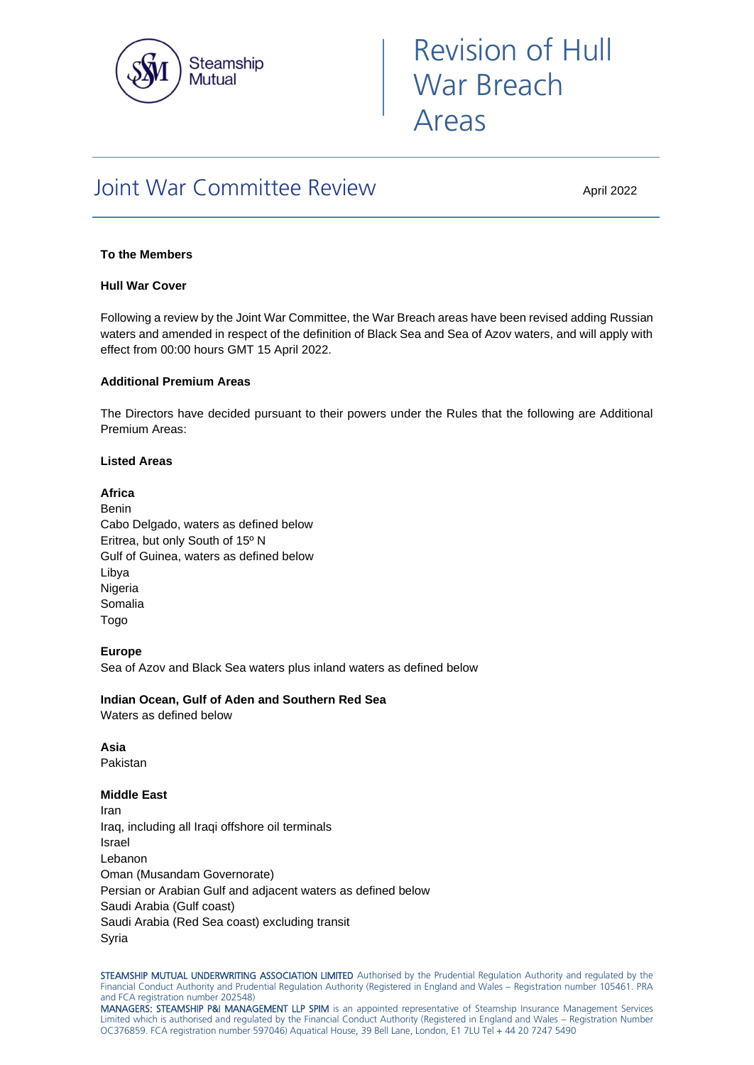

# Revision of Hull War Breach Areas

# Joint War Committee Review

April 2022

# **To the Members**

# **Hull War Cover**

Following a review by the Joint War Committee, the War Breach areas have been revised adding Russian waters and amended in respect of the definition of Black Sea and Sea of Azov waters, and will apply with effect from 00:00 hours GMT 15 April 2022.

# **Additional Premium Areas**

The Directors have decided pursuant to their powers under the Rules that the following are Additional Premium Areas:

#### **Listed Areas**

# **Africa**

Benin Cabo Delgado, waters as defined below Eritrea, but only South of 15º N Gulf of Guinea, waters as defined below Libya Nigeria Somalia Togo

# **Europe**

Sea of Azov and Black Sea waters plus inland waters as defined below

**Indian Ocean, Gulf of Aden and Southern Red Sea** Waters as defined below

**Asia** Pakistan

**Middle East**

Iran Iraq, including all Iraqi offshore oil terminals Israel Lebanon Oman (Musandam Governorate) Persian or Arabian Gulf and adjacent waters as defined below Saudi Arabia (Gulf coast) Saudi Arabia (Red Sea coast) excluding transit Syria

STEAMSHIP MUTUAL UNDERWRITING ASSOCIATION LIMITED Authorised by the Prudential Regulation Authority and regulated by the Financial Conduct Authority and Prudential Regulation Authority (Registered in England and Wales – Registration number 105461. PRA and FCA registration number 202548)

MANAGERS: STEAMSHIP P&I MANAGEMENT LLP SPIM is an appointed representative of Steamship Insurance Management Services Limited which is authorised and regulated by the Financial Conduct Authority (Registered in England and Wales – Registration Number OC376859. FCA registration number 597046) Aquatical House, 39 Bell Lane, London, E1 7LU Tel + 44 20 7247 5490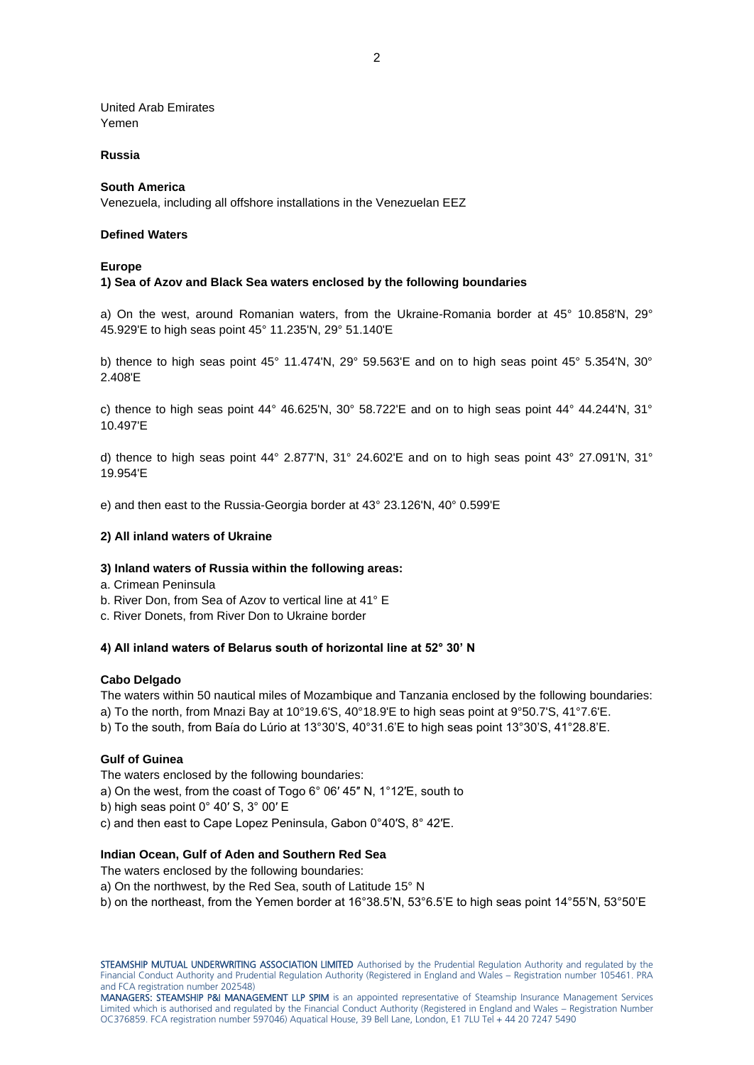United Arab Emirates Yemen

#### **Russia**

#### **South America**

Venezuela, including all offshore installations in the Venezuelan EEZ

#### **Defined Waters**

#### **Europe**

#### **1) Sea of Azov and Black Sea waters enclosed by the following boundaries**

a) On the west, around Romanian waters, from the Ukraine-Romania border at 45° 10.858'N, 29° 45.929'E to high seas point 45° 11.235'N, 29° 51.140'E

b) thence to high seas point 45° 11.474'N, 29° 59.563'E and on to high seas point 45° 5.354'N, 30° 2.408'E

c) thence to high seas point 44° 46.625'N, 30° 58.722'E and on to high seas point 44° 44.244'N, 31° 10.497'E

d) thence to high seas point 44° 2.877'N, 31° 24.602'E and on to high seas point 43° 27.091'N, 31° 19.954'E

e) and then east to the Russia-Georgia border at 43° 23.126'N, 40° 0.599'E

# **2) All inland waters of Ukraine**

#### **3) Inland waters of Russia within the following areas:**

- a. Crimean Peninsula
- b. River Don, from Sea of Azov to vertical line at 41° E
- c. River Donets, from River Don to Ukraine border

#### **4) All inland waters of Belarus south of horizontal line at 52° 30' N**

#### **Cabo Delgado**

The waters within 50 nautical miles of Mozambique and Tanzania enclosed by the following boundaries: a) To the north, from Mnazi Bay at 10°19.6'S, 40°18.9'E to high seas point at 9°50.7'S, 41°7.6'E. b) To the south, from Baía do Lúrio at 13°30'S, 40°31.6'E to high seas point 13°30'S, 41°28.8'E.

#### **Gulf of Guinea**

The waters enclosed by the following boundaries:

- a) On the west, from the coast of Togo 6° 06′ 45″ N, 1°12′E, south to
- b) high seas point 0° 40′ S, 3° 00′ E
- c) and then east to Cape Lopez Peninsula, Gabon 0°40′S, 8° 42′E.

#### **Indian Ocean, Gulf of Aden and Southern Red Sea**

The waters enclosed by the following boundaries:

a) On the northwest, by the Red Sea, south of Latitude 15° N

b) on the northeast, from the Yemen border at 16°38.5'N, 53°6.5'E to high seas point 14°55'N, 53°50'E

STEAMSHIP MUTUAL UNDERWRITING ASSOCIATION LIMITED Authorised by the Prudential Regulation Authority and regulated by the Financial Conduct Authority and Prudential Regulation Authority (Registered in England and Wales – Registration number 105461. PRA and FCA registration number 202548)

MANAGERS: STEAMSHIP P&I MANAGEMENT LLP SPIM is an appointed representative of Steamship Insurance Management Services Limited which is authorised and regulated by the Financial Conduct Authority (Registered in England and Wales – Registration Number OC376859. FCA registration number 597046) Aquatical House, 39 Bell Lane, London, E1 7LU Tel + 44 20 7247 5490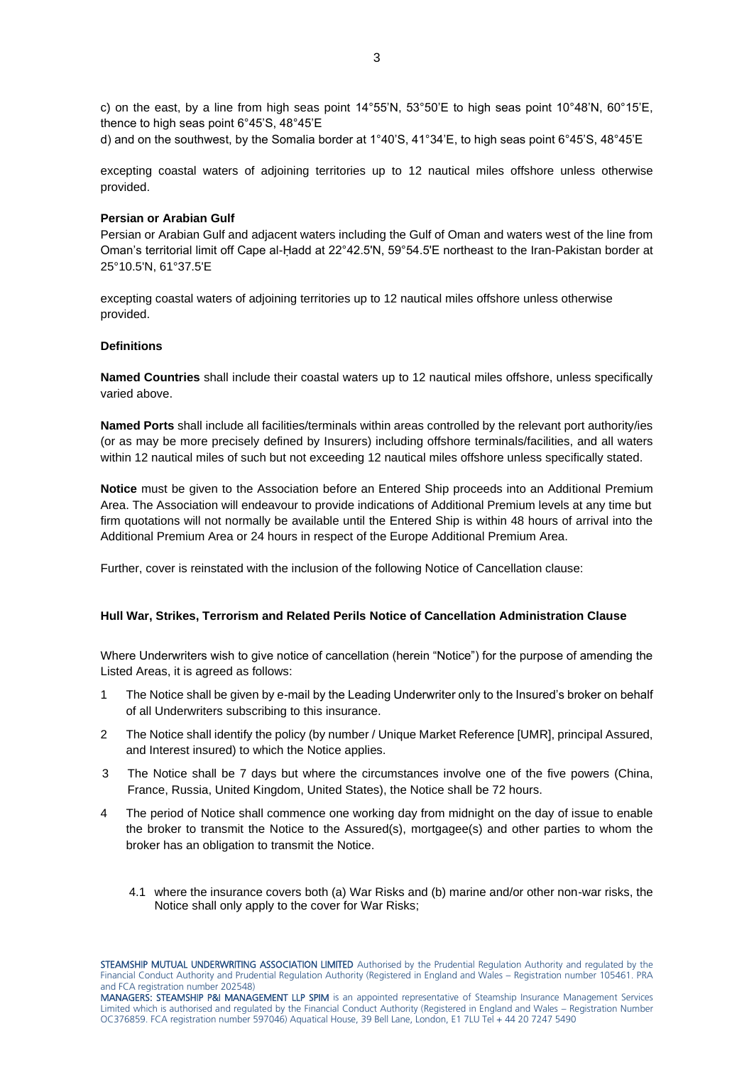c) on the east, by a line from high seas point 14°55'N, 53°50'E to high seas point 10°48'N, 60°15'E, thence to high seas point 6°45'S, 48°45'E

d) and on the southwest, by the Somalia border at 1°40'S, 41°34'E, to high seas point 6°45'S, 48°45'E

excepting coastal waters of adjoining territories up to 12 nautical miles offshore unless otherwise provided.

#### **Persian or Arabian Gulf**

Persian or Arabian Gulf and adjacent waters including the Gulf of Oman and waters west of the line from Oman's territorial limit off Cape al-Ḥadd at 22°42.5'N, 59°54.5'E northeast to the Iran-Pakistan border at 25°10.5'N, 61°37.5'E

excepting coastal waters of adjoining territories up to 12 nautical miles offshore unless otherwise provided.

#### **Definitions**

**Named Countries** shall include their coastal waters up to 12 nautical miles offshore, unless specifically varied above.

**Named Ports** shall include all facilities/terminals within areas controlled by the relevant port authority/ies (or as may be more precisely defined by Insurers) including offshore terminals/facilities, and all waters within 12 nautical miles of such but not exceeding 12 nautical miles offshore unless specifically stated.

**Notice** must be given to the Association before an Entered Ship proceeds into an Additional Premium Area. The Association will endeavour to provide indications of Additional Premium levels at any time but firm quotations will not normally be available until the Entered Ship is within 48 hours of arrival into the Additional Premium Area or 24 hours in respect of the Europe Additional Premium Area.

Further, cover is reinstated with the inclusion of the following Notice of Cancellation clause:

# **Hull War, Strikes, Terrorism and Related Perils Notice of Cancellation Administration Clause**

Where Underwriters wish to give notice of cancellation (herein "Notice") for the purpose of amending the Listed Areas, it is agreed as follows:

- 1 The Notice shall be given by e-mail by the Leading Underwriter only to the Insured's broker on behalf of all Underwriters subscribing to this insurance.
- 2 The Notice shall identify the policy (by number / Unique Market Reference [UMR], principal Assured, and Interest insured) to which the Notice applies.
- 3 The Notice shall be 7 days but where the circumstances involve one of the five powers (China, France, Russia, United Kingdom, United States), the Notice shall be 72 hours.
- 4 The period of Notice shall commence one working day from midnight on the day of issue to enable the broker to transmit the Notice to the Assured(s), mortgagee(s) and other parties to whom the broker has an obligation to transmit the Notice.
	- 4.1 where the insurance covers both (a) War Risks and (b) marine and/or other non-war risks, the Notice shall only apply to the cover for War Risks;